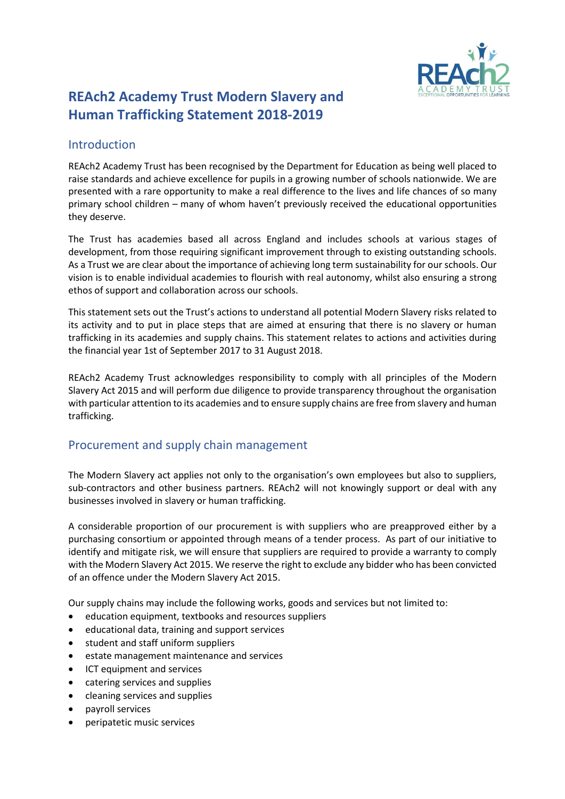

# **REAch2 Academy Trust Modern Slavery and Human Trafficking Statement 2018-2019**

## Introduction

REAch2 Academy Trust has been recognised by the Department for Education as being well placed to raise standards and achieve excellence for pupils in a growing number of schools nationwide. We are presented with a rare opportunity to make a real difference to the lives and life chances of so many primary school children – many of whom haven't previously received the educational opportunities they deserve.

The Trust has academies based all across England and includes schools at various stages of development, from those requiring significant improvement through to existing outstanding schools. As a Trust we are clear about the importance of achieving long term sustainability for ourschools. Our vision is to enable individual academies to flourish with real autonomy, whilst also ensuring a strong ethos of support and collaboration across our schools.

This statement sets out the Trust's actions to understand all potential Modern Slavery risks related to its activity and to put in place steps that are aimed at ensuring that there is no slavery or human trafficking in its academies and supply chains. This statement relates to actions and activities during the financial year 1st of September 2017 to 31 August 2018.

REAch2 Academy Trust acknowledges responsibility to comply with all principles of the Modern Slavery Act 2015 and will perform due diligence to provide transparency throughout the organisation with particular attention to its academies and to ensure supply chains are free from slavery and human trafficking.

# Procurement and supply chain management

The Modern Slavery act applies not only to the organisation's own employees but also to suppliers, sub-contractors and other business partners. REAch2 will not knowingly support or deal with any businesses involved in slavery or human trafficking.

A considerable proportion of our procurement is with suppliers who are preapproved either by a purchasing consortium or appointed through means of a tender process. As part of our initiative to identify and mitigate risk, we will ensure that suppliers are required to provide a warranty to comply with the Modern Slavery Act 2015. We reserve the right to exclude any bidder who has been convicted of an offence under the Modern Slavery Act 2015.

Our supply chains may include the following works, goods and services but not limited to:

- education equipment, textbooks and resources suppliers
- educational data, training and support services
- student and staff uniform suppliers
- estate management maintenance and services
- ICT equipment and services
- catering services and supplies
- cleaning services and supplies
- payroll services
- peripatetic music services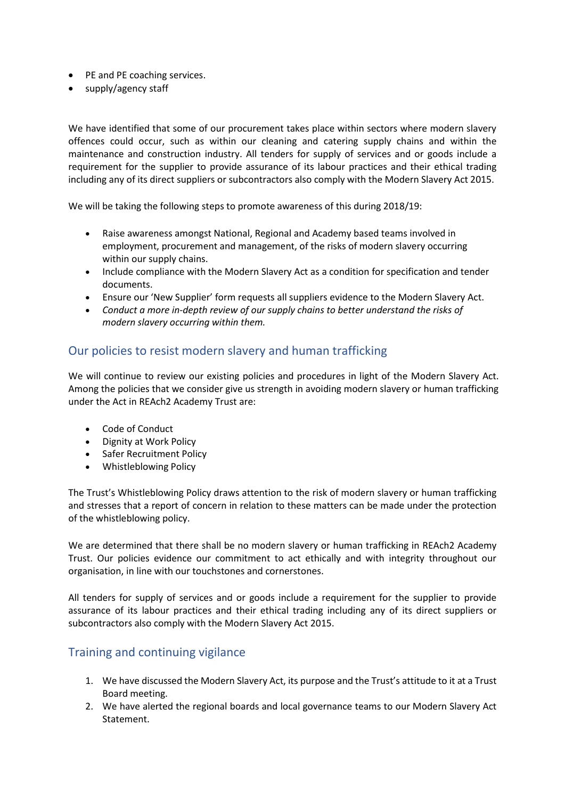- PE and PE coaching services.
- supply/agency staff

We have identified that some of our procurement takes place within sectors where modern slavery offences could occur, such as within our cleaning and catering supply chains and within the maintenance and construction industry. All tenders for supply of services and or goods include a requirement for the supplier to provide assurance of its labour practices and their ethical trading including any of its direct suppliers or subcontractors also comply with the Modern Slavery Act 2015.

We will be taking the following steps to promote awareness of this during 2018/19:

- Raise awareness amongst National, Regional and Academy based teams involved in employment, procurement and management, of the risks of modern slavery occurring within our supply chains.
- Include compliance with the Modern Slavery Act as a condition for specification and tender documents.
- Ensure our 'New Supplier' form requests all suppliers evidence to the Modern Slavery Act.
- *Conduct a more in-depth review of our supply chains to better understand the risks of modern slavery occurring within them.*

#### Our policies to resist modern slavery and human trafficking

We will continue to review our existing policies and procedures in light of the Modern Slavery Act. Among the policies that we consider give us strength in avoiding modern slavery or human trafficking under the Act in REAch2 Academy Trust are:

- Code of Conduct
- Dignity at Work Policy
- Safer Recruitment Policy
- Whistleblowing Policy

The Trust's Whistleblowing Policy draws attention to the risk of modern slavery or human trafficking and stresses that a report of concern in relation to these matters can be made under the protection of the whistleblowing policy.

We are determined that there shall be no modern slavery or human trafficking in REAch2 Academy Trust. Our policies evidence our commitment to act ethically and with integrity throughout our organisation, in line with our touchstones and cornerstones.

All tenders for supply of services and or goods include a requirement for the supplier to provide assurance of its labour practices and their ethical trading including any of its direct suppliers or subcontractors also comply with the Modern Slavery Act 2015.

#### Training and continuing vigilance

- 1. We have discussed the Modern Slavery Act, its purpose and the Trust's attitude to it at a Trust Board meeting.
- 2. We have alerted the regional boards and local governance teams to our Modern Slavery Act Statement.